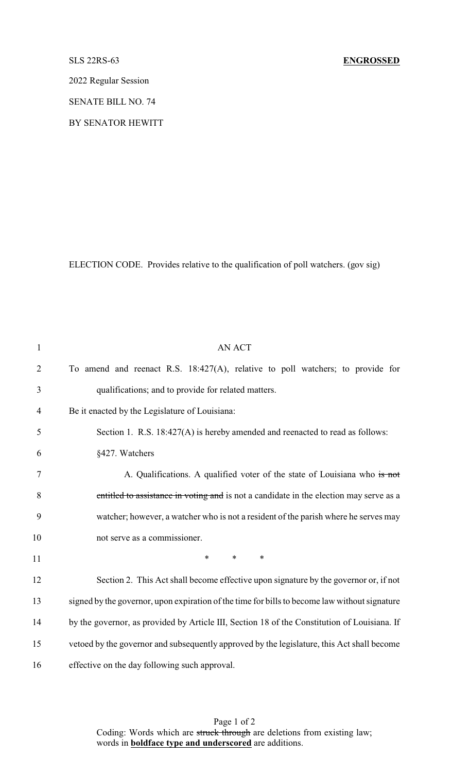## SLS 22RS-63 **ENGROSSED**

2022 Regular Session

SENATE BILL NO. 74

BY SENATOR HEWITT

ELECTION CODE. Provides relative to the qualification of poll watchers. (gov sig)

| $\mathbf{1}$   | <b>AN ACT</b>                                                                                 |
|----------------|-----------------------------------------------------------------------------------------------|
| $\overline{2}$ | To amend and reenact R.S. $18:427(A)$ , relative to poll watchers; to provide for             |
| 3              | qualifications; and to provide for related matters.                                           |
| 4              | Be it enacted by the Legislature of Louisiana:                                                |
| 5              | Section 1. R.S. 18:427(A) is hereby amended and reenacted to read as follows:                 |
| 6              | §427. Watchers                                                                                |
| 7              | A. Qualifications. A qualified voter of the state of Louisiana who is not                     |
| 8              | entitled to assistance in voting and is not a candidate in the election may serve as a        |
| 9              | watcher; however, a watcher who is not a resident of the parish where he serves may           |
| 10             | not serve as a commissioner.                                                                  |
| 11             | $\ast$<br>$\ast$<br>*                                                                         |
| 12             | Section 2. This Act shall become effective upon signature by the governor or, if not          |
| 13             | signed by the governor, upon expiration of the time for bills to become law without signature |
| 14             | by the governor, as provided by Article III, Section 18 of the Constitution of Louisiana. If  |
| 15             | vetoed by the governor and subsequently approved by the legislature, this Act shall become    |
| 16             | effective on the day following such approval.                                                 |